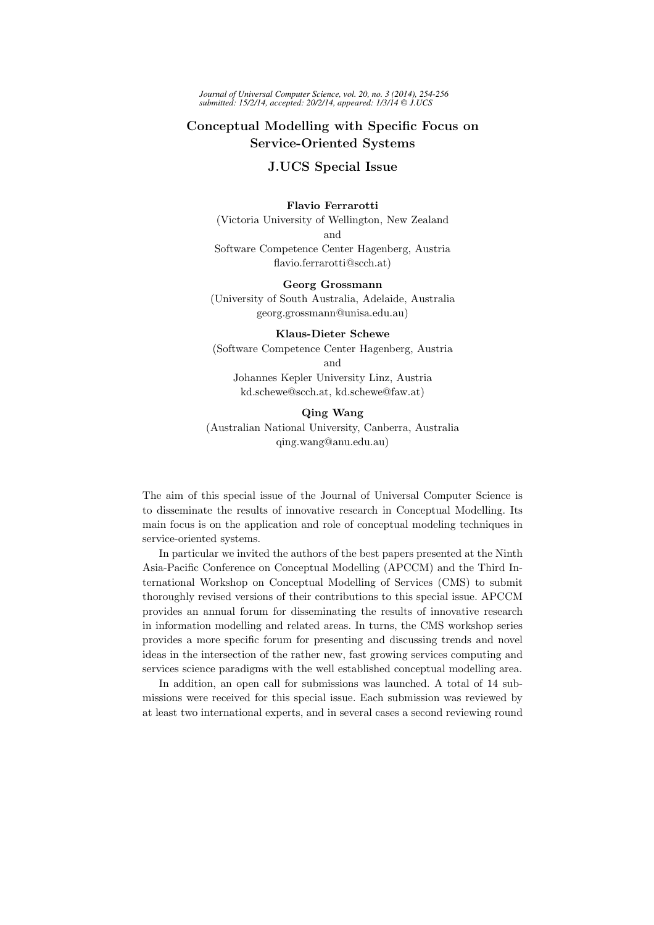# Conceptual Modelling with Specific Focus on Service-Oriented Systems

## J.UCS Special Issue

#### Flavio Ferrarotti

(Victoria University of Wellington, New Zealand and Software Competence Center Hagenberg, Austria flavio.ferrarotti@scch.at)

#### Georg Grossmann

(University of South Australia, Adelaide, Australia georg.grossmann@unisa.edu.au)

#### Klaus-Dieter Schewe

(Software Competence Center Hagenberg, Austria and Johannes Kepler University Linz, Austria kd.schewe@scch.at, kd.schewe@faw.at)

#### Qing Wang

(Australian National University, Canberra, Australia qing.wang@anu.edu.au)

The aim of this special issue of the Journal of Universal Computer Science is to disseminate the results of innovative research in Conceptual Modelling. Its main focus is on the application and role of conceptual modeling techniques in service-oriented systems.

In particular we invited the authors of the best papers presented at the Ninth Asia-Pacific Conference on Conceptual Modelling (APCCM) and the Third International Workshop on Conceptual Modelling of Services (CMS) to submit thoroughly revised versions of their contributions to this special issue. APCCM provides an annual forum for disseminating the results of innovative research in information modelling and related areas. In turns, the CMS workshop series provides a more specific forum for presenting and discussing trends and novel ideas in the intersection of the rather new, fast growing services computing and services science paradigms with the well established conceptual modelling area.

In addition, an open call for submissions was launched. A total of 14 submissions were received for this special issue. Each submission was reviewed by at least two international experts, and in several cases a second reviewing round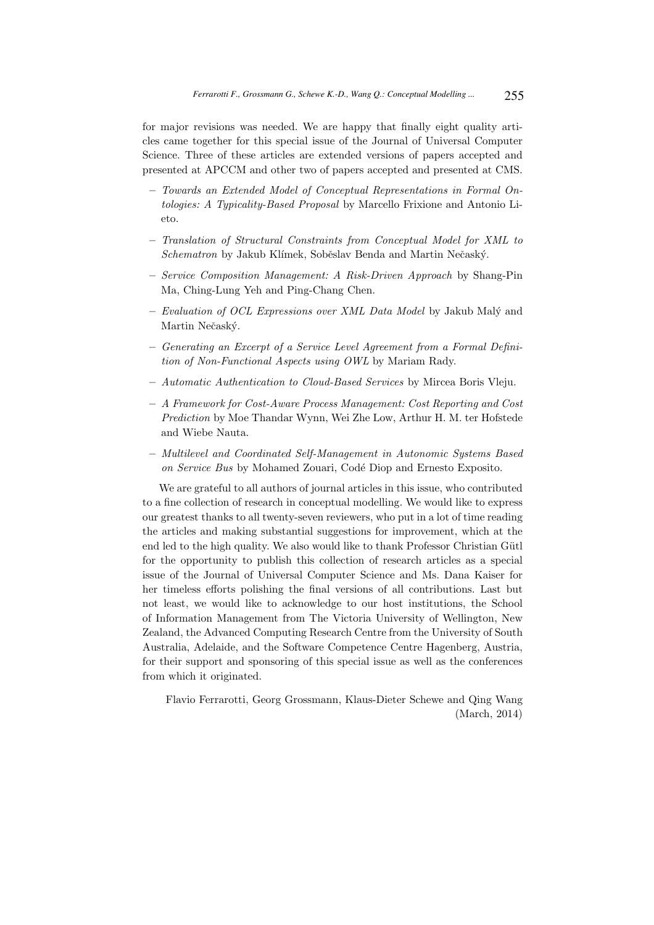for major revisions was needed. We are happy that finally eight quality articles came together for this special issue of the Journal of Universal Computer Science. Three of these articles are extended versions of papers accepted and presented at APCCM and other two of papers accepted and presented at CMS.

- Towards an Extended Model of Conceptual Representations in Formal Ontologies: A Typicality-Based Proposal by Marcello Frixione and Antonio Lieto.
- Translation of Structural Constraints from Conceptual Model for XML to Schematron by Jakub Klímek, Soběslav Benda and Martin Nečaský.
- Service Composition Management: A Risk-Driven Approach by Shang-Pin Ma, Ching-Lung Yeh and Ping-Chang Chen.
- $-$  Evaluation of OCL Expressions over XML Data Model by Jakub Malý and Martin Nečaský.
- Generating an Excerpt of a Service Level Agreement from a Formal Definition of Non-Functional Aspects using OWL by Mariam Rady.
- Automatic Authentication to Cloud-Based Services by Mircea Boris Vleju.
- A Framework for Cost-Aware Process Management: Cost Reporting and Cost Prediction by Moe Thandar Wynn, Wei Zhe Low, Arthur H. M. ter Hofstede and Wiebe Nauta.
- Multilevel and Coordinated Self-Management in Autonomic Systems Based on Service Bus by Mohamed Zouari, Codé Diop and Ernesto Exposito.

We are grateful to all authors of journal articles in this issue, who contributed to a fine collection of research in conceptual modelling. We would like to express our greatest thanks to all twenty-seven reviewers, who put in a lot of time reading the articles and making substantial suggestions for improvement, which at the end led to the high quality. We also would like to thank Professor Christian Gütl for the opportunity to publish this collection of research articles as a special issue of the Journal of Universal Computer Science and Ms. Dana Kaiser for her timeless efforts polishing the final versions of all contributions. Last but not least, we would like to acknowledge to our host institutions, the School of Information Management from The Victoria University of Wellington, New Zealand, the Advanced Computing Research Centre from the University of South Australia, Adelaide, and the Software Competence Centre Hagenberg, Austria, for their support and sponsoring of this special issue as well as the conferences from which it originated.

Flavio Ferrarotti, Georg Grossmann, Klaus-Dieter Schewe and Qing Wang (March, 2014)